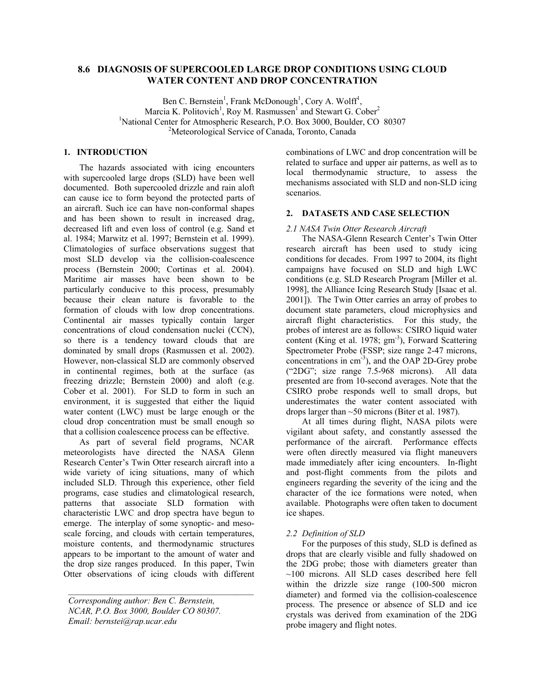# **8.6 DIAGNOSIS OF SUPERCOOLED LARGE DROP CONDITIONS USING CLOUD WATER CONTENT AND DROP CONCENTRATION**

Ben C. Bernstein<sup>1</sup>, Frank McDonough<sup>1</sup>, Cory A. Wolff<sup>1</sup>, Marcia K. Politovich<sup>1</sup>, Roy M. Rasmussen<sup>1</sup> and Stewart G. Cober<sup>2</sup> <sup>1</sup>National Center for Atmospheric Research, P.O. Box 3000, Boulder, CO 80307 <sup>2</sup>Meteorological Service of Canada, Toronto, Canada

# **1. INTRODUCTION**

The hazards associated with icing encounters with supercooled large drops (SLD) have been well documented. Both supercooled drizzle and rain aloft can cause ice to form beyond the protected parts of an aircraft. Such ice can have non-conformal shapes and has been shown to result in increased drag, decreased lift and even loss of control (e.g. Sand et al. 1984; Marwitz et al. 1997; Bernstein et al. 1999). Climatologies of surface observations suggest that most SLD develop via the collision-coalescence process (Bernstein 2000; Cortinas et al. 2004). Maritime air masses have been shown to be particularly conducive to this process, presumably because their clean nature is favorable to the formation of clouds with low drop concentrations. Continental air masses typically contain larger concentrations of cloud condensation nuclei (CCN), so there is a tendency toward clouds that are dominated by small drops (Rasmussen et al. 2002). However, non-classical SLD are commonly observed in continental regimes, both at the surface (as freezing drizzle; Bernstein 2000) and aloft (e.g. Cober et al. 2001). For SLD to form in such an environment, it is suggested that either the liquid water content (LWC) must be large enough or the cloud drop concentration must be small enough so that a collision coalescence process can be effective.

As part of several field programs, NCAR meteorologists have directed the NASA Glenn Research Center's Twin Otter research aircraft into a wide variety of icing situations, many of which included SLD. Through this experience, other field programs, case studies and climatological research, patterns that associate SLD formation with characteristic LWC and drop spectra have begun to emerge. The interplay of some synoptic- and mesoscale forcing, and clouds with certain temperatures, moisture contents, and thermodynamic structures appears to be important to the amount of water and the drop size ranges produced. In this paper, Twin Otter observations of icing clouds with different

 $\mathcal{L}^{\mathcal{L}}$ 

combinations of LWC and drop concentration will be related to surface and upper air patterns, as well as to local thermodynamic structure, to assess the mechanisms associated with SLD and non-SLD icing scenarios.

#### **2. DATASETS AND CASE SELECTION**

#### *2.1 NASA Twin Otter Research Aircraft*

The NASA-Glenn Research Center's Twin Otter research aircraft has been used to study icing conditions for decades. From 1997 to 2004, its flight campaigns have focused on SLD and high LWC conditions (e.g. SLD Research Program [Miller et al. 1998], the Alliance Icing Research Study [Isaac et al. 2001]). The Twin Otter carries an array of probes to document state parameters, cloud microphysics and aircraft flight characteristics. For this study, the probes of interest are as follows: CSIRO liquid water content (King et al. 1978; gm<sup>-3</sup>), Forward Scattering Spectrometer Probe (FSSP; size range 2-47 microns, concentrations in cm<sup>-3</sup>), and the OAP 2D-Grey probe ("2DG"; size range 7.5-968 microns). All data presented are from 10-second averages. Note that the CSIRO probe responds well to small drops, but underestimates the water content associated with drops larger than ~50 microns (Biter et al. 1987).

At all times during flight, NASA pilots were vigilant about safety, and constantly assessed the performance of the aircraft. Performance effects were often directly measured via flight maneuvers made immediately after icing encounters. In-flight and post-flight comments from the pilots and engineers regarding the severity of the icing and the character of the ice formations were noted, when available. Photographs were often taken to document ice shapes.

#### *2.2 Definition of SLD*

For the purposes of this study, SLD is defined as drops that are clearly visible and fully shadowed on the 2DG probe; those with diameters greater than  $~100$  microns. All SLD cases described here fell within the drizzle size range (100-500 micron diameter) and formed via the collision-coalescence process. The presence or absence of SLD and ice crystals was derived from examination of the 2DG probe imagery and flight notes.

*Corresponding author: Ben C. Bernstein, NCAR, P.O. Box 3000, Boulder CO 80307. Email: bernstei@rap.ucar.edu*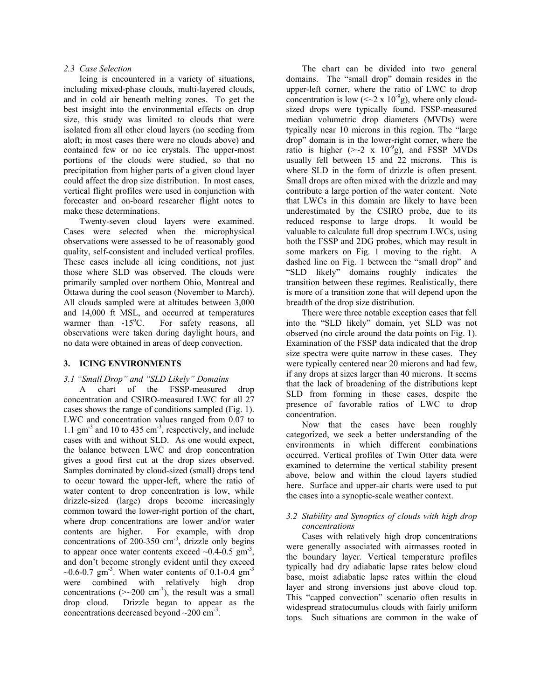Icing is encountered in a variety of situations, including mixed-phase clouds, multi-layered clouds, and in cold air beneath melting zones. To get the best insight into the environmental effects on drop size, this study was limited to clouds that were isolated from all other cloud layers (no seeding from aloft; in most cases there were no clouds above) and contained few or no ice crystals. The upper-most portions of the clouds were studied, so that no precipitation from higher parts of a given cloud layer could affect the drop size distribution. In most cases, vertical flight profiles were used in conjunction with forecaster and on-board researcher flight notes to make these determinations.

Twenty-seven cloud layers were examined. Cases were selected when the microphysical observations were assessed to be of reasonably good quality, self-consistent and included vertical profiles. These cases include all icing conditions, not just those where SLD was observed. The clouds were primarily sampled over northern Ohio, Montreal and Ottawa during the cool season (November to March). All clouds sampled were at altitudes between 3,000 and 14,000 ft MSL, and occurred at temperatures warmer than  $-15^{\circ}$ C. For safety reasons, all observations were taken during daylight hours, and no data were obtained in areas of deep convection.

### **3. ICING ENVIRONMENTS**

# *3.1 "Small Drop" and "SLD Likely" Domains*

A chart of the FSSP-measured drop concentration and CSIRO-measured LWC for all 27 cases shows the range of conditions sampled (Fig. 1). LWC and concentration values ranged from 0.07 to 1.1  $\text{gm}^3$  and 10 to 435  $\text{cm}^3$ , respectively, and include cases with and without SLD. As one would expect, the balance between LWC and drop concentration gives a good first cut at the drop sizes observed. Samples dominated by cloud-sized (small) drops tend to occur toward the upper-left, where the ratio of water content to drop concentration is low, while drizzle-sized (large) drops become increasingly common toward the lower-right portion of the chart, where drop concentrations are lower and/or water contents are higher. For example, with drop concentrations of 200-350  $\text{cm}^3$ , drizzle only begins to appear once water contents exceed  $\sim 0.4$ -0.5 gm<sup>-3</sup>, and don't become strongly evident until they exceed  $\sim 0.6$ -0.7 gm<sup>-3</sup>. When water contents of 0.1-0.4 gm<sup>-3</sup> were combined with relatively high drop concentrations  $(\geq 200 \text{ cm}^3)$ , the result was a small drop cloud. Drizzle began to appear as the concentrations decreased beyond  $\sim$ 200 cm<sup>-3</sup>.

*2.3 Case Selection* The chart can be divided into two general domains. The "small drop" domain resides in the upper-left corner, where the ratio of LWC to drop concentration is low ( $\langle 2 \times 10^{-9}$ g), where only cloudsized drops were typically found. FSSP-measured median volumetric drop diameters (MVDs) were typically near 10 microns in this region. The "large drop" domain is in the lower-right corner, where the ratio is higher ( $\geq 2$  x 10<sup>-9</sup>g), and FSSP MVDs usually fell between 15 and 22 microns. This is where SLD in the form of drizzle is often present. Small drops are often mixed with the drizzle and may contribute a large portion of the water content. Note that LWCs in this domain are likely to have been underestimated by the CSIRO probe, due to its reduced response to large drops. It would be valuable to calculate full drop spectrum LWCs, using both the FSSP and 2DG probes, which may result in some markers on Fig. 1 moving to the right. A dashed line on Fig. 1 between the "small drop" and "SLD likely" domains roughly indicates the transition between these regimes. Realistically, there is more of a transition zone that will depend upon the breadth of the drop size distribution.

> There were three notable exception cases that fell into the "SLD likely" domain, yet SLD was not observed (no circle around the data points on Fig. 1). Examination of the FSSP data indicated that the drop size spectra were quite narrow in these cases. They were typically centered near 20 microns and had few, if any drops at sizes larger than 40 microns. It seems that the lack of broadening of the distributions kept SLD from forming in these cases, despite the presence of favorable ratios of LWC to drop concentration.

> Now that the cases have been roughly categorized, we seek a better understanding of the environments in which different combinations occurred. Vertical profiles of Twin Otter data were examined to determine the vertical stability present above, below and within the cloud layers studied here. Surface and upper-air charts were used to put the cases into a synoptic-scale weather context.

# *3.2 Stability and Synoptics of clouds with high drop concentrations*

Cases with relatively high drop concentrations were generally associated with airmasses rooted in the boundary layer. Vertical temperature profiles typically had dry adiabatic lapse rates below cloud base, moist adiabatic lapse rates within the cloud layer and strong inversions just above cloud top. This "capped convection" scenario often results in widespread stratocumulus clouds with fairly uniform tops. Such situations are common in the wake of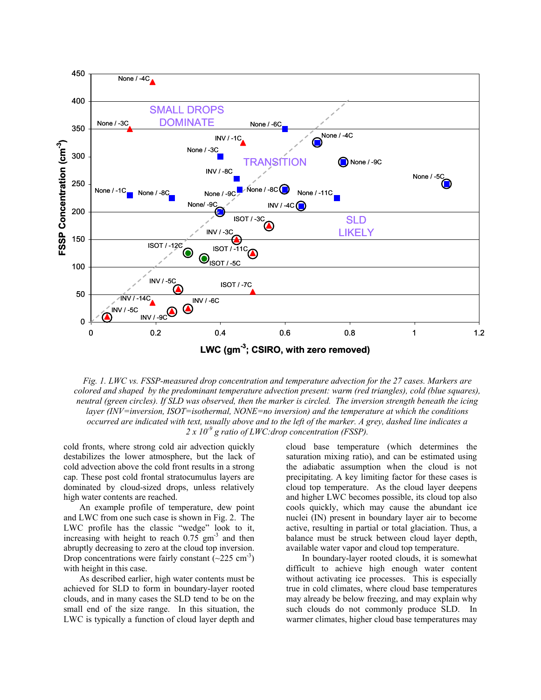

*Fig. 1. LWC vs. FSSP-measured drop concentration and temperature advection for the 27 cases. Markers are colored and shaped by the predominant temperature advection present: warm (red triangles), cold (blue squares), neutral (green circles). If SLD was observed, then the marker is circled. The inversion strength beneath the icing layer (INV=inversion, ISOT=isothermal, NONE=no inversion) and the temperature at which the conditions occurred are indicated with text, usually above and to the left of the marker. A grey, dashed line indicates a 2 x 10-9 g ratio of LWC:drop concentration (FSSP).* 

cold fronts, where strong cold air advection quickly destabilizes the lower atmosphere, but the lack of cold advection above the cold front results in a strong cap. These post cold frontal stratocumulus layers are dominated by cloud-sized drops, unless relatively high water contents are reached.

An example profile of temperature, dew point and LWC from one such case is shown in Fig. 2. The LWC profile has the classic "wedge" look to it, increasing with height to reach  $0.75 \text{ gm}^3$  and then abruptly decreasing to zero at the cloud top inversion. Drop concentrations were fairly constant  $(\sim 225 \text{ cm}^3)$ with height in this case.

As described earlier, high water contents must be achieved for SLD to form in boundary-layer rooted clouds, and in many cases the SLD tend to be on the small end of the size range. In this situation, the LWC is typically a function of cloud layer depth and

cloud base temperature (which determines the saturation mixing ratio), and can be estimated using the adiabatic assumption when the cloud is not precipitating. A key limiting factor for these cases is cloud top temperature. As the cloud layer deepens and higher LWC becomes possible, its cloud top also cools quickly, which may cause the abundant ice nuclei (IN) present in boundary layer air to become active, resulting in partial or total glaciation. Thus, a balance must be struck between cloud layer depth, available water vapor and cloud top temperature.

In boundary-layer rooted clouds, it is somewhat difficult to achieve high enough water content without activating ice processes. This is especially true in cold climates, where cloud base temperatures may already be below freezing, and may explain why such clouds do not commonly produce SLD. In warmer climates, higher cloud base temperatures may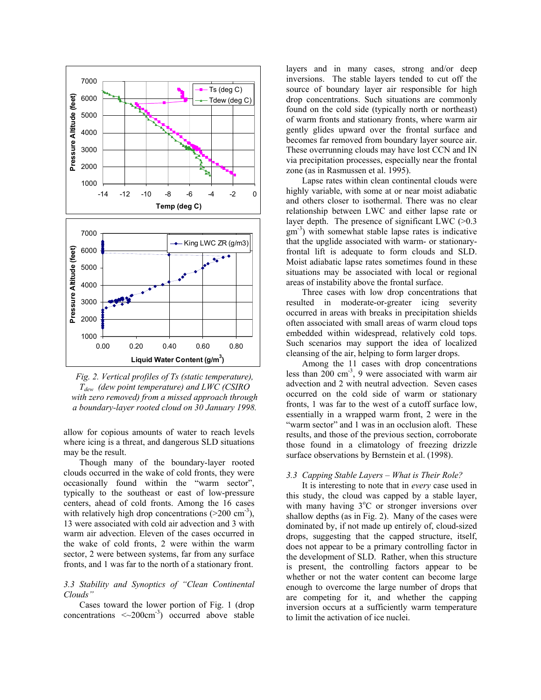

*Fig. 2. Vertical profiles of Ts (static temperature), Tdew (dew point temperature) and LWC (CSIRO with zero removed) from a missed approach through a boundary-layer rooted cloud on 30 January 1998.* 

allow for copious amounts of water to reach levels where icing is a threat, and dangerous SLD situations may be the result.

Though many of the boundary-layer rooted clouds occurred in the wake of cold fronts, they were occasionally found within the "warm sector", typically to the southeast or east of low-pressure centers, ahead of cold fronts. Among the 16 cases with relatively high drop concentrations  $(200 \text{ cm}^{-3})$ , 13 were associated with cold air advection and 3 with warm air advection. Eleven of the cases occurred in the wake of cold fronts, 2 were within the warm sector, 2 were between systems, far from any surface fronts, and 1 was far to the north of a stationary front.

# *3.3 Stability and Synoptics of "Clean Continental Clouds"*

Cases toward the lower portion of Fig. 1 (drop concentrations  $\langle 200 \text{cm}^3 \rangle$  occurred above stable layers and in many cases, strong and/or deep inversions. The stable layers tended to cut off the source of boundary layer air responsible for high drop concentrations. Such situations are commonly found on the cold side (typically north or northeast) of warm fronts and stationary fronts, where warm air gently glides upward over the frontal surface and becomes far removed from boundary layer source air. These overrunning clouds may have lost CCN and IN via precipitation processes, especially near the frontal zone (as in Rasmussen et al. 1995).

Lapse rates within clean continental clouds were highly variable, with some at or near moist adiabatic and others closer to isothermal. There was no clear relationship between LWC and either lapse rate or layer depth. The presence of significant LWC  $(>0.3)$  $gm<sup>-3</sup>$ ) with somewhat stable lapse rates is indicative that the upglide associated with warm- or stationaryfrontal lift is adequate to form clouds and SLD. Moist adiabatic lapse rates sometimes found in these situations may be associated with local or regional areas of instability above the frontal surface.

Three cases with low drop concentrations that resulted in moderate-or-greater icing severity occurred in areas with breaks in precipitation shields often associated with small areas of warm cloud tops embedded within widespread, relatively cold tops. Such scenarios may support the idea of localized cleansing of the air, helping to form larger drops.

Among the 11 cases with drop concentrations less than  $200 \text{ cm}^3$ , 9 were associated with warm air advection and 2 with neutral advection. Seven cases occurred on the cold side of warm or stationary fronts, 1 was far to the west of a cutoff surface low, essentially in a wrapped warm front, 2 were in the "warm sector" and 1 was in an occlusion aloft. These results, and those of the previous section, corroborate those found in a climatology of freezing drizzle surface observations by Bernstein et al. (1998).

# *3.3 Capping Stable Layers – What is Their Role?*

It is interesting to note that in *every* case used in this study, the cloud was capped by a stable layer, with many having 3°C or stronger inversions over shallow depths (as in Fig. 2). Many of the cases were dominated by, if not made up entirely of, cloud-sized drops, suggesting that the capped structure, itself, does not appear to be a primary controlling factor in the development of SLD. Rather, when this structure is present, the controlling factors appear to be whether or not the water content can become large enough to overcome the large number of drops that are competing for it, and whether the capping inversion occurs at a sufficiently warm temperature to limit the activation of ice nuclei.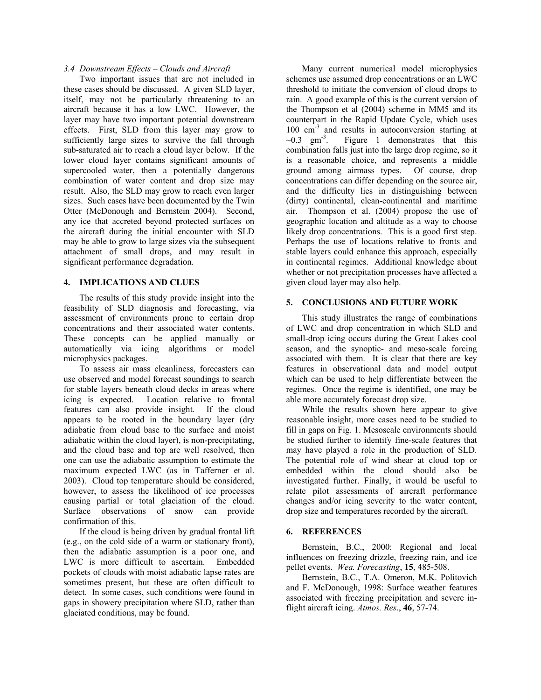Two important issues that are not included in these cases should be discussed. A given SLD layer, itself, may not be particularly threatening to an aircraft because it has a low LWC. However, the layer may have two important potential downstream effects. First, SLD from this layer may grow to sufficiently large sizes to survive the fall through sub-saturated air to reach a cloud layer below. If the lower cloud layer contains significant amounts of supercooled water, then a potentially dangerous combination of water content and drop size may result. Also, the SLD may grow to reach even larger sizes. Such cases have been documented by the Twin Otter (McDonough and Bernstein 2004). Second, any ice that accreted beyond protected surfaces on the aircraft during the initial encounter with SLD may be able to grow to large sizes via the subsequent attachment of small drops, and may result in significant performance degradation.

### **4. IMPLICATIONS AND CLUES**

The results of this study provide insight into the feasibility of SLD diagnosis and forecasting, via assessment of environments prone to certain drop concentrations and their associated water contents. These concepts can be applied manually or automatically via icing algorithms or model microphysics packages.

To assess air mass cleanliness, forecasters can use observed and model forecast soundings to search for stable layers beneath cloud decks in areas where icing is expected. Location relative to frontal features can also provide insight. If the cloud appears to be rooted in the boundary layer (dry adiabatic from cloud base to the surface and moist adiabatic within the cloud layer), is non-precipitating, and the cloud base and top are well resolved, then one can use the adiabatic assumption to estimate the maximum expected LWC (as in Tafferner et al. 2003). Cloud top temperature should be considered, however, to assess the likelihood of ice processes causing partial or total glaciation of the cloud. Surface observations of snow can provide confirmation of this.

If the cloud is being driven by gradual frontal lift **6. REFERENCES**  (e.g., on the cold side of a warm or stationary front), then the adiabatic assumption is a poor one, and LWC is more difficult to ascertain. Embedded pockets of clouds with moist adiabatic lapse rates are sometimes present, but these are often difficult to detect. In some cases, such conditions were found in gaps in showery precipitation where SLD, rather than glaciated conditions, may be found.

3.4 *Downstream Effects – Clouds and Aircraft* Many current numerical model microphysics schemes use assumed drop concentrations or an LWC threshold to initiate the conversion of cloud drops to rain. A good example of this is the current version of the Thompson et al (2004) scheme in MM5 and its counterpart in the Rapid Update Cycle, which uses 100 cm<sup>-3</sup> and results in autoconversion starting at  $\sim 0.3$  gm<sup>-3</sup>. Figure 1 demonstrates that this combination falls just into the large drop regime, so it is a reasonable choice, and represents a middle ground among airmass types. Of course, drop concentrations can differ depending on the source air, and the difficulty lies in distinguishing between (dirty) continental, clean-continental and maritime air. Thompson et al. (2004) propose the use of geographic location and altitude as a way to choose likely drop concentrations. This is a good first step. Perhaps the use of locations relative to fronts and stable layers could enhance this approach, especially in continental regimes. Additional knowledge about whether or not precipitation processes have affected a given cloud layer may also help.

#### **5. CONCLUSIONS AND FUTURE WORK**

This study illustrates the range of combinations of LWC and drop concentration in which SLD and small-drop icing occurs during the Great Lakes cool season, and the synoptic- and meso-scale forcing associated with them. It is clear that there are key features in observational data and model output which can be used to help differentiate between the regimes. Once the regime is identified, one may be able more accurately forecast drop size.

While the results shown here appear to give reasonable insight, more cases need to be studied to fill in gaps on Fig. 1. Mesoscale environments should be studied further to identify fine-scale features that may have played a role in the production of SLD. The potential role of wind shear at cloud top or embedded within the cloud should also be investigated further. Finally, it would be useful to relate pilot assessments of aircraft performance changes and/or icing severity to the water content, drop size and temperatures recorded by the aircraft.

Bernstein, B.C., 2000: Regional and local influences on freezing drizzle, freezing rain, and ice pellet events. *Wea. Forecasting*, **15**, 485-508.

Bernstein, B.C., T.A. Omeron, M.K. Politovich and F. McDonough, 1998: Surface weather features associated with freezing precipitation and severe inflight aircraft icing. *Atmos. Res*., **46**, 57-74.